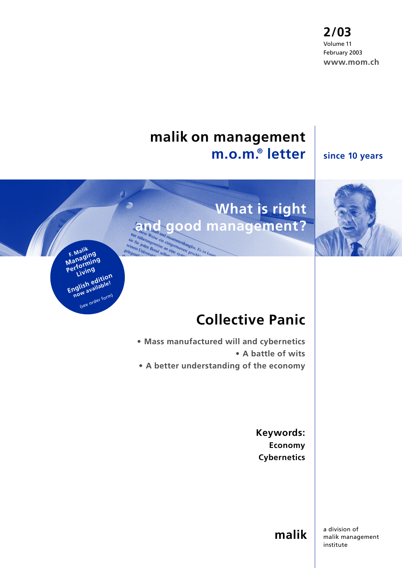**2/03** Volume 11 February 2003 **www.mom.ch**

## **malik on management m.o.m.® letter**

#### **since 10 years**

# **What is right and good management?**

rigermassen<br>eine system geschli

an cine sys

mglos. Es ist ka

**F. Malik F. <sup>Ma</sup>ging**<br>Managing Manayming<br>Performing **Living**

English edition<br> **English edition** 

(see order form)

 $\rho$ )



**• Mass manufactured will and cybernetics • A battle of wits • A better understanding of the economy**

> **Keywords: Economy Cybernetics**

> > **malik**

a division of malik management institute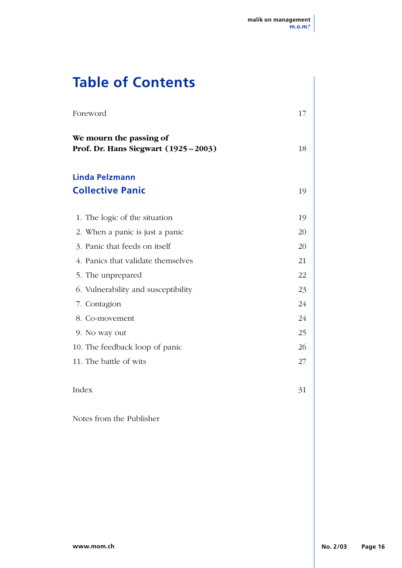## **Table of Contents**

| Foreword                                                         | 17 |
|------------------------------------------------------------------|----|
| We mourn the passing of<br>Prof. Dr. Hans Siegwart (1925 - 2003) | 18 |
| Linda Pelzmann<br><b>Collective Panic</b>                        | 19 |
| 1. The logic of the situation                                    | 19 |
| 2. When a panic is just a panic                                  | 20 |
| 3. Panic that feeds on itself                                    | 20 |
| 4. Panics that validate themselves                               | 21 |
| 5. The unprepared                                                | 22 |
| 6. Vulnerability and susceptibility                              | 23 |
| 7. Contagion                                                     | 24 |
| 8. Co-movement                                                   | 24 |
| 9. No way out                                                    | 25 |
| 10. The feedback loop of panic                                   | 26 |
| 11. The battle of wits                                           | 27 |
| Index                                                            | 31 |
| Notes from the Publisher                                         |    |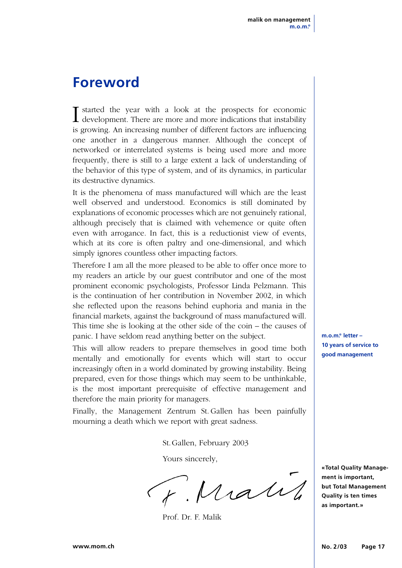## **Foreword**

I started the year with a look at the prospects for economic<br>development. There are more and more indications that instability is growing. An increasing number of different factors are influencing one another in a dangerous manner. Although the concept of networked or interrelated systems is being used more and more frequently, there is still to a large extent a lack of understanding of the behavior of this type of system, and of its dynamics, in particular its destructive dynamics.

It is the phenomena of mass manufactured will which are the least well observed and understood. Economics is still dominated by explanations of economic processes which are not genuinely rational, although precisely that is claimed with vehemence or quite often even with arrogance. In fact, this is a reductionist view of events, which at its core is often paltry and one-dimensional, and which simply ignores countless other impacting factors.

Therefore I am all the more pleased to be able to offer once more to my readers an article by our guest contributor and one of the most prominent economic psychologists, Professor Linda Pelzmann. This is the continuation of her contribution in November 2002, in which she reflected upon the reasons behind euphoria and mania in the financial markets, against the background of mass manufactured will. This time she is looking at the other side of the coin – the causes of panic. I have seldom read anything better on the subject.

This will allow readers to prepare themselves in good time both mentally and emotionally for events which will start to occur increasingly often in a world dominated by growing instability. Being prepared, even for those things which may seem to be unthinkable, is the most important prerequisite of effective management and therefore the main priority for managers.

Finally, the Management Zentrum St. Gallen has been painfully mourning a death which we report with great sadness.

St.Gallen, February 2003

Yours sincerely,

F. Matil

Prof. Dr. F. Malik

**m.o.m.® letter – 10 years of service to good management**

**«Total Quality Management is important, but Total Management Quality is ten times as important.»**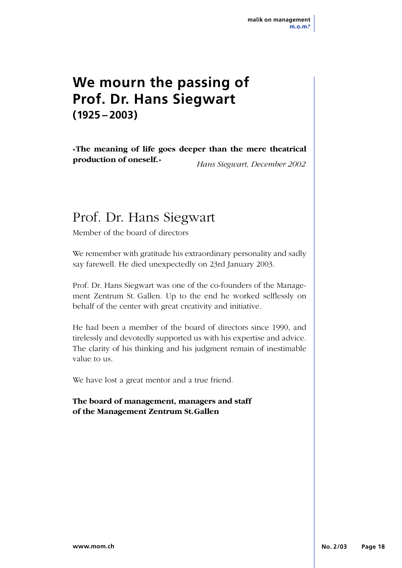## **We mourn the passing of Prof. Dr. Hans Siegwart (1925 – 2003)**

**«The meaning of life goes deeper than the mere theatrical production of oneself.»** *Hans Siegwart, December 2002*

## Prof. Dr. Hans Siegwart

Member of the board of directors

We remember with gratitude his extraordinary personality and sadly say farewell. He died unexpectedly on 23rd January 2003.

Prof. Dr. Hans Siegwart was one of the co-founders of the Management Zentrum St. Gallen. Up to the end he worked selflessly on behalf of the center with great creativity and initiative.

He had been a member of the board of directors since 1990, and tirelessly and devotedly supported us with his expertise and advice. The clarity of his thinking and his judgment remain of inestimable value to us.

We have lost a great mentor and a true friend.

**The board of management, managers and staff of the Management Zentrum St.Gallen**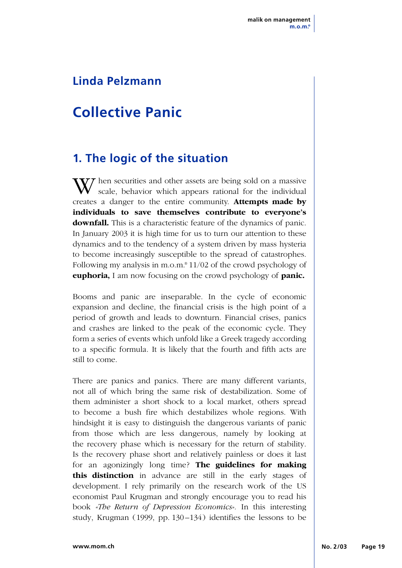## **Linda Pelzmann**

## **Collective Panic**

### **1. The logic of the situation**

W hen securities and other assets are being sold on a massive scale, behavior which appears rational for the individual creates a danger to the entire community. **Attempts made by individuals to save themselves contribute to everyone's downfall.** This is a characteristic feature of the dynamics of panic. In January 2003 it is high time for us to turn our attention to these dynamics and to the tendency of a system driven by mass hysteria to become increasingly susceptible to the spread of catastrophes. Following my analysis in m.o.m.® 11/02 of the crowd psychology of **euphoria,** I am now focusing on the crowd psychology of **panic.**

Booms and panic are inseparable. In the cycle of economic expansion and decline, the financial crisis is the high point of a period of growth and leads to downturn. Financial crises, panics and crashes are linked to the peak of the economic cycle. They form a series of events which unfold like a Greek tragedy according to a specific formula. It is likely that the fourth and fifth acts are still to come.

There are panics and panics. There are many different variants, not all of which bring the same risk of destabilization. Some of them administer a short shock to a local market, others spread to become a bush fire which destabilizes whole regions. With hindsight it is easy to distinguish the dangerous variants of panic from those which are less dangerous, namely by looking at the recovery phase which is necessary for the return of stability. Is the recovery phase short and relatively painless or does it last for an agonizingly long time? **The guidelines for making this distinction** in advance are still in the early stages of development. I rely primarily on the research work of the US economist Paul Krugman and strongly encourage you to read his book *«The Return of Depression Economics».* In this interesting study, Krugman (1999, pp. 130–134) identifies the lessons to be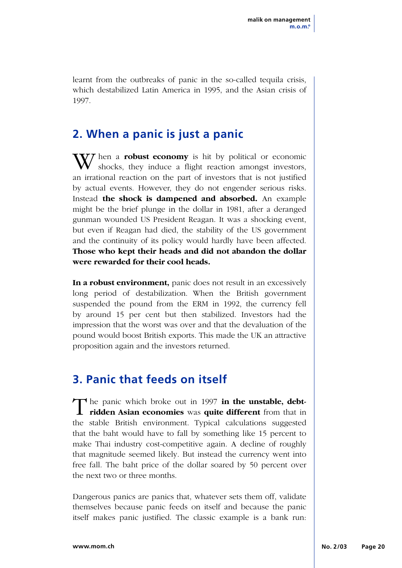learnt from the outbreaks of panic in the so-called tequila crisis, which destabilized Latin America in 1995, and the Asian crisis of 1997.

### **2. When a panic is just a panic**

**V***T* hen a **robust economy** is hit by political or economic shocks, they induce a flight reaction amongst investors, an irrational reaction on the part of investors that is not justified by actual events. However, they do not engender serious risks. Instead **the shock is dampened and absorbed.** An example might be the brief plunge in the dollar in 1981, after a deranged gunman wounded US President Reagan. It was a shocking event, but even if Reagan had died, the stability of the US government and the continuity of its policy would hardly have been affected. **Those who kept their heads and did not abandon the dollar were rewarded for their cool heads.**

**In a robust environment,** panic does not result in an excessively long period of destabilization. When the British government suspended the pound from the ERM in 1992, the currency fell by around 15 per cent but then stabilized. Investors had the impression that the worst was over and that the devaluation of the pound would boost British exports. This made the UK an attractive proposition again and the investors returned.

## **3. Panic that feeds on itself**

The panic which broke out in 1997 **in the unstable, debt-ridden Asian economies** was **quite different** from that in the stable British environment. Typical calculations suggested that the baht would have to fall by something like 15 percent to make Thai industry cost-competitive again. A decline of roughly that magnitude seemed likely. But instead the currency went into free fall. The baht price of the dollar soared by 50 percent over the next two or three months.

Dangerous panics are panics that, whatever sets them off, validate themselves because panic feeds on itself and because the panic itself makes panic justified. The classic example is a bank run: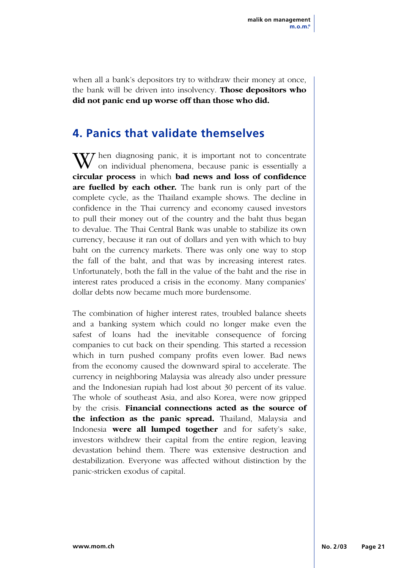when all a bank's depositors try to withdraw their money at once, the bank will be driven into insolvency. **Those depositors who did not panic end up worse off than those who did.**

### **4. Panics that validate themselves**

 $\sqrt{V}$  hen diagnosing panic, it is important not to concentrate on individual phenomena, because panic is essentially a **circular process** in which **bad news and loss of confidence are fuelled by each other.** The bank run is only part of the complete cycle, as the Thailand example shows. The decline in confidence in the Thai currency and economy caused investors to pull their money out of the country and the baht thus began to devalue. The Thai Central Bank was unable to stabilize its own currency, because it ran out of dollars and yen with which to buy baht on the currency markets. There was only one way to stop the fall of the baht, and that was by increasing interest rates. Unfortunately, both the fall in the value of the baht and the rise in interest rates produced a crisis in the economy. Many companies' dollar debts now became much more burdensome.

The combination of higher interest rates, troubled balance sheets and a banking system which could no longer make even the safest of loans had the inevitable consequence of forcing companies to cut back on their spending. This started a recession which in turn pushed company profits even lower. Bad news from the economy caused the downward spiral to accelerate. The currency in neighboring Malaysia was already also under pressure and the Indonesian rupiah had lost about 30 percent of its value. The whole of southeast Asia, and also Korea, were now gripped by the crisis. **Financial connections acted as the source of the infection as the panic spread.** Thailand, Malaysia and Indonesia **were all lumped together** and for safety's sake, investors withdrew their capital from the entire region, leaving devastation behind them. There was extensive destruction and destabilization. Everyone was affected without distinction by the panic-stricken exodus of capital.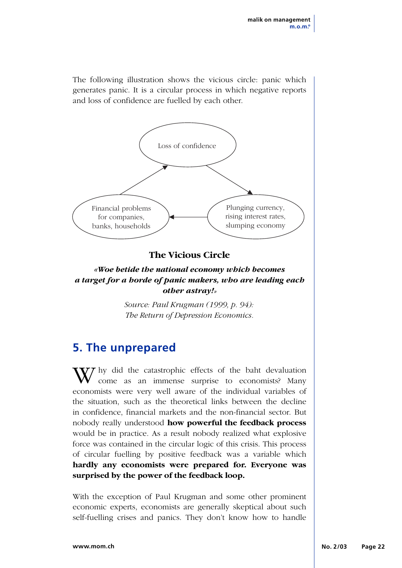The following illustration shows the vicious circle: panic which generates panic. It is a circular process in which negative reports and loss of confidence are fuelled by each other.



#### **The Vicious Circle**

#### *«Woe betide the national economy which becomes a target for a horde of panic makers, who are leading each other astray!»*

*Source: Paul Krugman (1999, p. 94): The Return of Depression Economics.*

### **5. The unprepared**

W hy did the catastrophic effects of the baht devaluation come as an immense surprise to economists? Many economists were very well aware of the individual variables of the situation, such as the theoretical links between the decline in confidence, financial markets and the non-financial sector. But nobody really understood **how powerful the feedback process** would be in practice. As a result nobody realized what explosive force was contained in the circular logic of this crisis. This process of circular fuelling by positive feedback was a variable which **hardly any economists were prepared for. Everyone was surprised by the power of the feedback loop.**

With the exception of Paul Krugman and some other prominent economic experts, economists are generally skeptical about such self-fuelling crises and panics. They don't know how to handle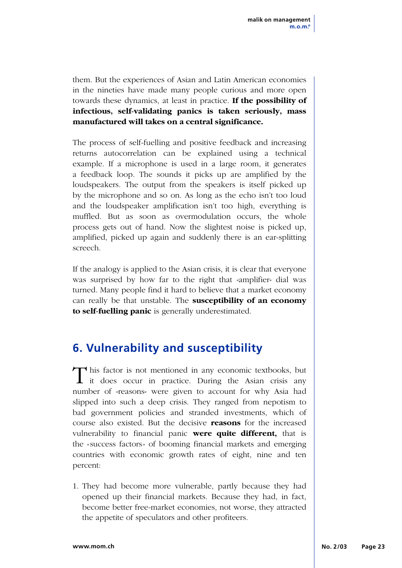them. But the experiences of Asian and Latin American economies in the nineties have made many people curious and more open towards these dynamics, at least in practice. **If the possibility of infectious, self-validating panics is taken seriously, mass manufactured will takes on a central significance.**

The process of self-fuelling and positive feedback and increasing returns autocorrelation can be explained using a technical example. If a microphone is used in a large room, it generates a feedback loop. The sounds it picks up are amplified by the loudspeakers. The output from the speakers is itself picked up by the microphone and so on. As long as the echo isn't too loud and the loudspeaker amplification isn't too high, everything is muffled. But as soon as overmodulation occurs, the whole process gets out of hand. Now the slightest noise is picked up, amplified, picked up again and suddenly there is an ear-splitting screech.

If the analogy is applied to the Asian crisis, it is clear that everyone was surprised by how far to the right that «amplifier» dial was turned. Many people find it hard to believe that a market economy can really be that unstable. The **susceptibility of an economy to self-fuelling panic** is generally underestimated.

## **6. Vulnerability and susceptibility**

This factor is not mentioned in any economic textbooks, but it does occur in practice. During the Asian crisis any number of «reasons» were given to account for why Asia had slipped into such a deep crisis. They ranged from nepotism to bad government policies and stranded investments, which of course also existed. But the decisive **reasons** for the increased vulnerability to financial panic **were quite different,** that is the «success factors» of booming financial markets and emerging countries with economic growth rates of eight, nine and ten percent:

1. They had become more vulnerable, partly because they had opened up their financial markets. Because they had, in fact, become better free-market economies, not worse, they attracted the appetite of speculators and other profiteers.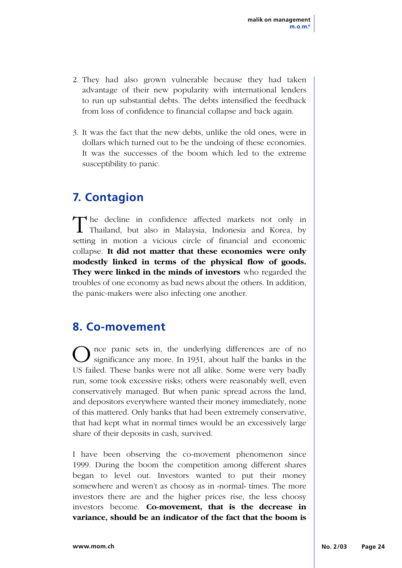- 2. They had also grown vulnerable because they had taken advantage of their new popularity with international lenders to run up substantial debts. The debts intensified the feedback from loss of confidence to financial collapse and back again.
- 3. It was the fact that the new debts, unlike the old ones, were in dollars which turned out to be the undoing of these economies. It was the successes of the boom which led to the extreme susceptibility to panic.

### **7. Contagion**

The decline in confidence affected markets not only in Thailand, but also in Malaysia, Indonesia and Korea, by setting in motion a vicious circle of financial and economic collapse. **It did not matter that these economies were only modestly linked in terms of the physical flow of goods. They were linked in the minds of investors** who regarded the troubles of one economy as bad news about the others. In addition, the panic-makers were also infecting one another.

#### **8. Co-movement**

Once panic sets in, the underlying differences are of no<br>significance any more. In 1931, about half the banks in the US failed. These banks were not all alike. Some were very badly run, some took excessive risks; others were reasonably well, even conservatively managed. But when panic spread across the land, and depositors everywhere wanted their money immediately, none of this mattered. Only banks that had been extremely conservative, that had kept what in normal times would be an excessively large share of their deposits in cash, survived.

I have been observing the co-movement phenomenon since 1999. During the boom the competition among different shares began to level out. Investors wanted to put their money somewhere and weren't as choosy as in «normal» times. The more investors there are and the higher prices rise, the less choosy investors become. **Co-movement, that is the decrease in variance, should be an indicator of the fact that the boom is**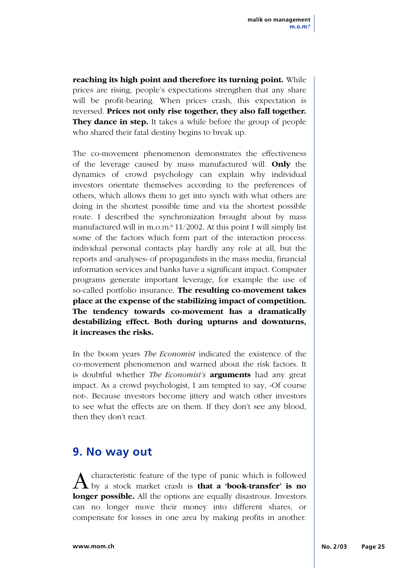**reaching its high point and therefore its turning point.** While prices are rising, people's expectations strengthen that any share will be profit-bearing. When prices crash, this expectation is reversed. **Prices not only rise together, they also fall together. They dance in step.** It takes a while before the group of people who shared their fatal destiny begins to break up.

The co-movement phenomenon demonstrates the effectiveness of the leverage caused by mass manufactured will. **Only** the dynamics of crowd psychology can explain why individual investors orientate themselves according to the preferences of others, which allows them to get into synch with what others are doing in the shortest possible time and via the shortest possible route. I described the synchronization brought about by mass manufactured will in m.o.m. $\degree$  11/2002. At this point I will simply list some of the factors which form part of the interaction process: individual personal contacts play hardly any role at all, but the reports and «analyses» of propagandists in the mass media, financial information services and banks have a significant impact. Computer programs generate important leverage, for example the use of so-called portfolio insurance. **The resulting co-movement takes place at the expense of the stabilizing impact of competition. The tendency towards co-movement has a dramatically destabilizing effect. Both during upturns and downturns, it increases the risks.**

In the boom years *The Economist* indicated the existence of the co-movement phenomenon and warned about the risk factors. It is doubtful whether *The Economist's* **arguments** had any great impact. As a crowd psychologist, I am tempted to say, «Of course not». Because investors become jittery and watch other investors to see what the effects are on them. If they don't see any blood, then they don't react.

### **9. No way out**

A characteristic feature of the type of panic which is followed<br>by a stock market crash is **that a 'book-transfer' is no longer possible.** All the options are equally disastrous. Investors can no longer move their money into different shares, or compensate for losses in one area by making profits in another.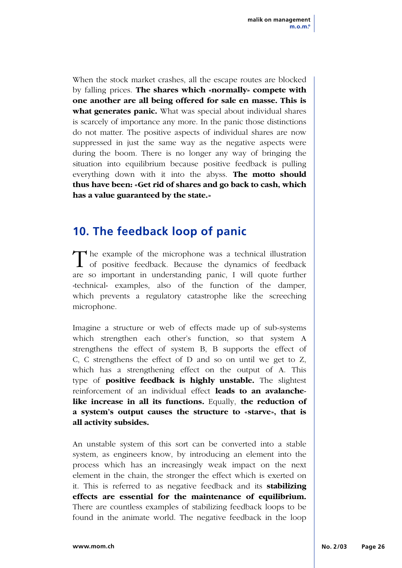When the stock market crashes, all the escape routes are blocked by falling prices. **The shares which «normally» compete with one another are all being offered for sale en masse. This is what generates panic.** What was special about individual shares is scarcely of importance any more. In the panic those distinctions do not matter. The positive aspects of individual shares are now suppressed in just the same way as the negative aspects were during the boom. There is no longer any way of bringing the situation into equilibrium because positive feedback is pulling everything down with it into the abyss. **The motto should thus have been: «Get rid of shares and go back to cash, which has a value guaranteed by the state.»**

### **10. The feedback loop of panic**

The example of the microphone was a technical illustration of positive feedback. Because the dynamics of feedback are so important in understanding panic, I will quote further «technical» examples, also of the function of the damper, which prevents a regulatory catastrophe like the screeching microphone.

Imagine a structure or web of effects made up of sub-systems which strengthen each other's function, so that system A strengthens the effect of system B, B supports the effect of C, C strengthens the effect of D and so on until we get to Z, which has a strengthening effect on the output of A. This type of **positive feedback is highly unstable.** The slightest reinforcement of an individual effect **leads to an avalanchelike increase in all its functions.** Equally, **the reduction of a system's output causes the structure to «starve», that is all activity subsides.**

An unstable system of this sort can be converted into a stable system, as engineers know, by introducing an element into the process which has an increasingly weak impact on the next element in the chain, the stronger the effect which is exerted on it. This is referred to as negative feedback and its **stabilizing effects are essential for the maintenance of equilibrium.** There are countless examples of stabilizing feedback loops to be found in the animate world. The negative feedback in the loop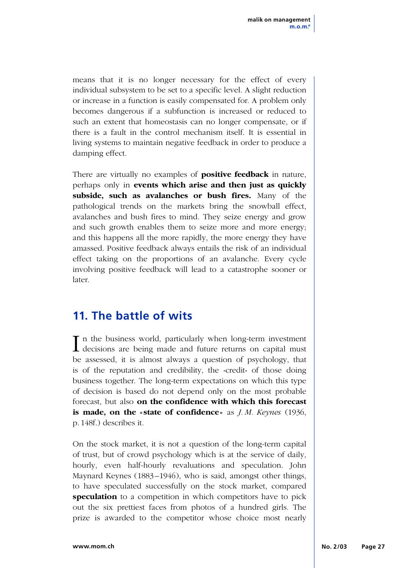means that it is no longer necessary for the effect of every individual subsystem to be set to a specific level. A slight reduction or increase in a function is easily compensated for. A problem only becomes dangerous if a subfunction is increased or reduced to such an extent that homeostasis can no longer compensate, or if there is a fault in the control mechanism itself. It is essential in living systems to maintain negative feedback in order to produce a damping effect.

There are virtually no examples of **positive feedback** in nature, perhaps only in **events which arise and then just as quickly subside, such as avalanches or bush fires.** Many of the pathological trends on the markets bring the snowball effect, avalanches and bush fires to mind. They seize energy and grow and such growth enables them to seize more and more energy; and this happens all the more rapidly, the more energy they have amassed. Positive feedback always entails the risk of an individual effect taking on the proportions of an avalanche. Every cycle involving positive feedback will lead to a catastrophe sooner or later.

### **11. The battle of wits**

I in the business world, particularly when long-term investment decisions are being made and future returns on capital must **T** n the business world, particularly when long-term investment be assessed, it is almost always a question of psychology, that is of the reputation and credibility, the «credit» of those doing business together. The long-term expectations on which this type of decision is based do not depend only on the most probable forecast, but also **on the confidence with which this forecast is made, on the «state of confidence»** as *J. M. Keynes* (1936, p.148f.) describes it.

On the stock market, it is not a question of the long-term capital of trust, but of crowd psychology which is at the service of daily, hourly, even half-hourly revaluations and speculation. John Maynard Keynes (1883–1946), who is said, amongst other things, to have speculated successfully on the stock market, compared **speculation** to a competition in which competitors have to pick out the six prettiest faces from photos of a hundred girls. The prize is awarded to the competitor whose choice most nearly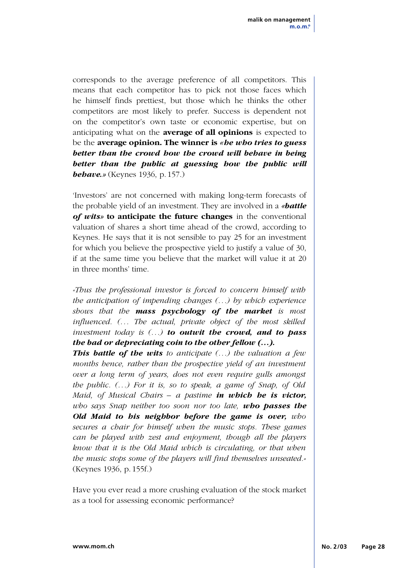corresponds to the average preference of all competitors. This means that each competitor has to pick not those faces which he himself finds prettiest, but those which he thinks the other competitors are most likely to prefer. Success is dependent not on the competitor's own taste or economic expertise, but on anticipating what on the **average of all opinions** is expected to be the **average opinion. The winner is** *«he who tries to guess better than the crowd how the crowd will behave in being better than the public at guessing how the public will behave.»* (Keynes 1936, p.157.)

'Investors' are not concerned with making long-term forecasts of the probable yield of an investment. They are involved in a *«battle of wits»* **to anticipate the future changes** in the conventional valuation of shares a short time ahead of the crowd, according to Keynes. He says that it is not sensible to pay 25 for an investment for which you believe the prospective yield to justify a value of 30, if at the same time you believe that the market will value it at 20 in three months' time.

*«Thus the professional investor is forced to concern himself with the anticipation of impending changes (...) by which experience shows that the mass psychology of the market is most influenced. (... The actual, private object of the most skilled investment today is (...) to outwit the crowd, and to pass the bad or depreciating coin to the other fellow (...).*

*This battle of the wits to anticipate (...) the valuation a few months hence, rather than the prospective yield of an investment over a long term of years, does not even require gulls amongst the public. (...) For it is, so to speak, a game of Snap, of Old Maid, of Musical Chairs – a pastime in which he is victor, who says Snap neither too soon nor too late, who passes the Old Maid to his neighbor before the game is over, who secures a chair for himself when the music stops. These games can be played with zest and enjoyment, though all the players know that it is the Old Maid which is circulating, or that when the music stops some of the players will find themselves unseated.»* (Keynes 1936, p.155f.)

Have you ever read a more crushing evaluation of the stock market as a tool for assessing economic performance?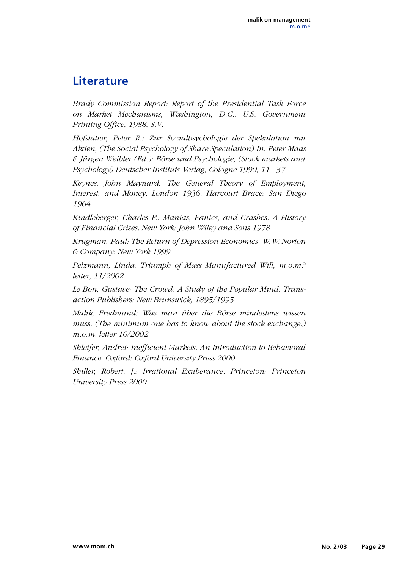### **Literature**

*Brady Commission Report: Report of the Presidential Task Force on Market Mechanisms, Washington, D.C.: U.S. Government Printing Office, 1988, S.V.*

*Hofstätter, Peter R.: Zur Sozialpsychologie der Spekulation mit Aktien, (The Social Psychology of Share Speculation) In: Peter Maas & Jürgen Weibler (Ed.): Börse und Psychologie, (Stock markets and Psychology) Deutscher Instituts-Verlag, Cologne 1990, 11 –37*

*Keynes, John Maynard: The General Theory of Employment, Interest, and Money. London 1936. Harcourt Brace: San Diego 1964*

*Kindleberger, Charles P.: Manias, Panics, and Crashes. A History of Financial Crises. New York: John Wiley and Sons 1978*

*Krugman, Paul: The Return of Depression Economics. W.W. Norton & Company: New York 1999*

*Pelzmann, Linda: Triumph of Mass Manufactured Will, m.o.m.® letter, 11/2002*

*Le Bon, Gustave: The Crowd: A Study of the Popular Mind. Transaction Publishers: New Brunswick, 1895/1995*

*Malik, Fredmund: Was man über die Börse mindestens wissen muss. (The minimum one has to know about the stock exchange.) m.o.m. letter 10/2002*

*Shleifer, Andrei: Inefficient Markets. An Introduction to Behavioral Finance. Oxford: Oxford University Press 2000*

*Shiller, Robert, J.: Irrational Exuberance. Princeton: Princeton University Press 2000*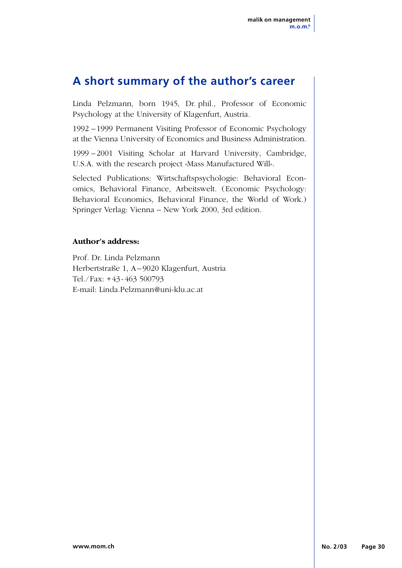#### **A short summary of the author's career**

Linda Pelzmann, born 1945, Dr. phil., Professor of Economic Psychology at the University of Klagenfurt, Austria.

1992 –1999 Permanent Visiting Professor of Economic Psychology at the Vienna University of Economics and Business Administration.

1999 –2001 Visiting Scholar at Harvard University, Cambridge, U.S.A. with the research project «Mass Manufactured Will».

Selected Publications: Wirtschaftspsychologie: Behavioral Economics, Behavioral Finance, Arbeitswelt. (Economic Psychology: Behavioral Economics, Behavioral Finance, the World of Work.) Springer Verlag: Vienna – New York 2000, 3rd edition.

#### **Author's address:**

Prof. Dr. Linda Pelzmann Herbertstraße 1, A–9020 Klagenfurt, Austria Tel./Fax: +43-463 500793 E-mail: Linda.Pelzmann@uni-klu.ac.at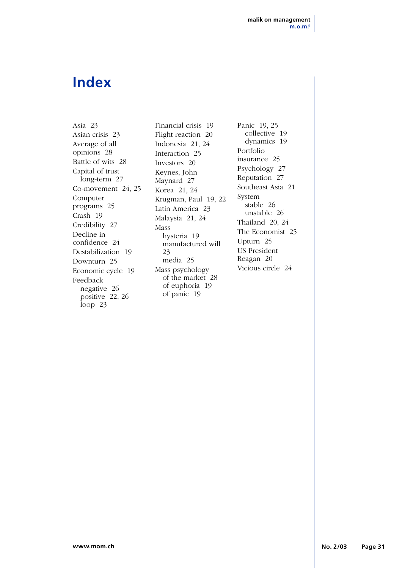## **Index**

Asia 23 Asian crisis 23 Average of all opinions 28 Battle of wits 28 Capital of trust long-term 27 Co-movement 24, 25 Computer programs 25 Crash 19 Credibility 27 Decline in confidence 24 Destabilization 19 Downturn 25 Economic cycle 19 Feedback negative 26 positive 22, 26 loop 23

Financial crisis 19 Flight reaction 20 Indonesia 21, 24 Interaction 25 Investors 20 Keynes, John Maynard 27 Korea 21, 24 Krugman, Paul 19, 22 Latin America 23 Malaysia 21, 24 Mass hysteria 19 manufactured will 23 media 25 Mass psychology of the market 28 of euphoria 19 of panic 19

Panic 19, 25 collective 19 dynamics 19 Portfolio insurance 25 Psychology 27 Reputation 27 Southeast Asia 21 System stable 26 unstable 26 Thailand 20, 24 The Economist 25 Upturn 25 US President Reagan 20 Vicious circle 24